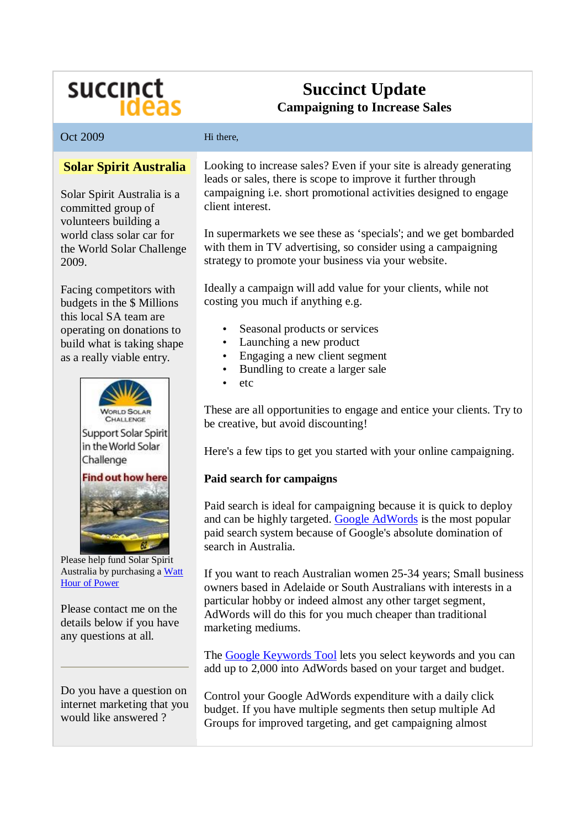# succinct<br>Ideas

# **Succinct Update Campaigning to Increase Sales**

| Oct 2009                                                                                                                                                                                                                                                       | Hi there,                                                                                                                                                                                                                                                                                                                                                                                                                                                                                                                                                                                                                                                                           |
|----------------------------------------------------------------------------------------------------------------------------------------------------------------------------------------------------------------------------------------------------------------|-------------------------------------------------------------------------------------------------------------------------------------------------------------------------------------------------------------------------------------------------------------------------------------------------------------------------------------------------------------------------------------------------------------------------------------------------------------------------------------------------------------------------------------------------------------------------------------------------------------------------------------------------------------------------------------|
| <b>Solar Spirit Australia</b><br>Solar Spirit Australia is a<br>committed group of<br>volunteers building a<br>world class solar car for<br>the World Solar Challenge<br>2009.                                                                                 | Looking to increase sales? Even if your site is already generating<br>leads or sales, there is scope to improve it further through<br>campaigning i.e. short promotional activities designed to engage<br>client interest.<br>In supermarkets we see these as 'specials'; and we get bombarded<br>with them in TV advertising, so consider using a campaigning<br>strategy to promote your business via your website.                                                                                                                                                                                                                                                               |
| Facing competitors with<br>budgets in the \$ Millions<br>this local SA team are<br>operating on donations to<br>build what is taking shape<br>as a really viable entry.<br>Support Solar Spirit<br>in the World Solar<br>Challenge<br><b>Find out how here</b> | Ideally a campaign will add value for your clients, while not<br>costing you much if anything e.g.<br>Seasonal products or services<br>Launching a new product<br>$\bullet$<br>Engaging a new client segment<br>Bundling to create a larger sale<br>etc<br>These are all opportunities to engage and entice your clients. Try to<br>be creative, but avoid discounting!<br>Here's a few tips to get you started with your online campaigning.<br>Paid search for campaigns<br>Paid search is ideal for campaigning because it is quick to deploy<br>and can be highly targeted. Google AdWords is the most popular<br>paid search system because of Google's absolute domination of |
| Please help fund Solar Spirit<br>Australia by purchasing a Watt<br><b>Hour of Power</b><br>Please contact me on the<br>details below if you have<br>any questions at all.<br>Do you have a question on<br>internet marketing that you<br>would like answered?  | search in Australia.<br>If you want to reach Australian women 25-34 years; Small business<br>owners based in Adelaide or South Australians with interests in a<br>particular hobby or indeed almost any other target segment,<br>AdWords will do this for you much cheaper than traditional<br>marketing mediums.<br>The Google Keywords Tool lets you select keywords and you can<br>add up to 2,000 into AdWords based on your target and budget.<br>Control your Google AdWords expenditure with a daily click<br>budget. If you have multiple segments then setup multiple Ad<br>Groups for improved targeting, and get campaigning almost                                      |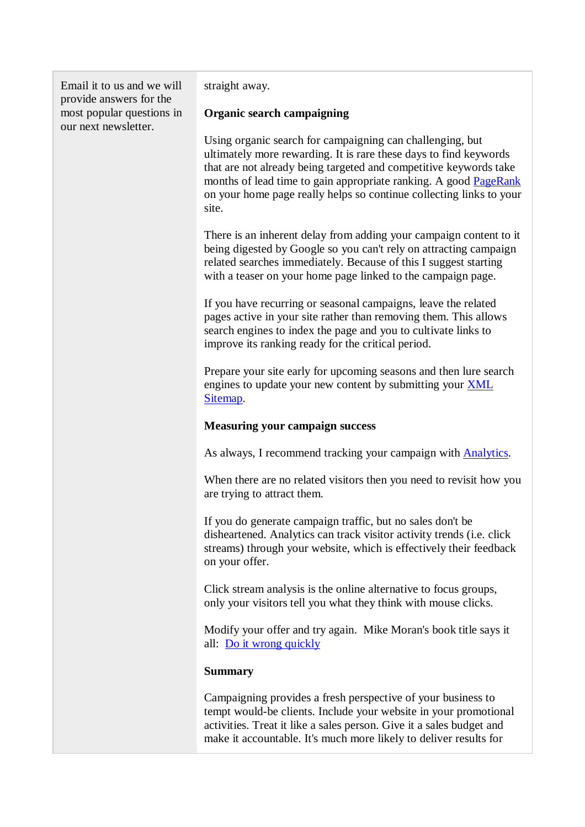Email it to us and we will provide answers for the most popular questions in our next newsletter.

straight away.

#### **Organic search campaigning**

Using organic search for campaigning can challenging, but ultimately more rewarding. It is rare these days to find keywords that are not already being targeted and competitive keywords take months of lead time to gain appropriate ranking. A good PageRank on your home page really helps so continue collecting links to your site.

There is an inherent delay from adding your campaign content to it being digested by Google so you can't rely on attracting campaign related searches immediately. Because of this I suggest starting with a teaser on your home page linked to the campaign page.

If you have recurring or seasonal campaigns, leave the related pages active in your site rather than removing them. This allows search engines to index the page and you to cultivate links to improve its ranking ready for the critical period.

Prepare your site early for upcoming seasons and then lure search engines to update your new content by submitting your XML Sitemap.

## **Measuring your campaign success**

As always, I recommend tracking your campaign with Analytics.

When there are no related visitors then you need to revisit how you are trying to attract them.

If you do generate campaign traffic, but no sales don't be disheartened. Analytics can track visitor activity trends (i.e. click streams) through your website, which is effectively their feedback on your offer.

Click stream analysis is the online alternative to focus groups, only your visitors tell you what they think with mouse clicks.

Modify your offer and try again. Mike Moran's book title says it all: Do it wrong quickly

## **Summary**

Campaigning provides a fresh perspective of your business to tempt would-be clients. Include your website in your promotional activities. Treat it like a sales person. Give it a sales budget and make it accountable. It's much more likely to deliver results for